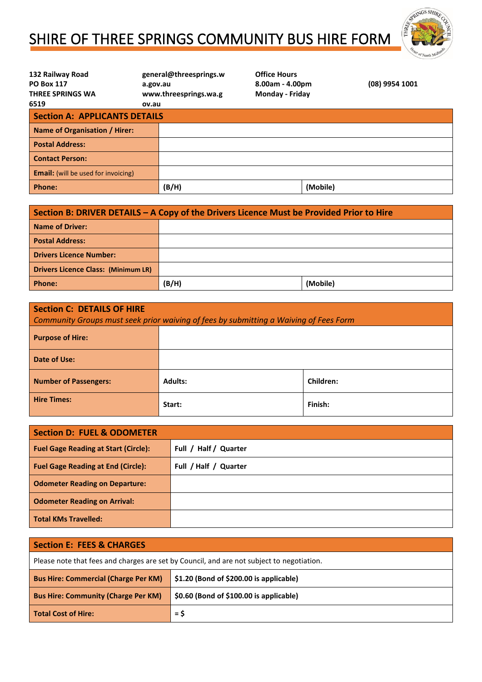Ĭ



| 132 Railway Road                           | general@threesprings.w | <b>Office Hours</b> |                |
|--------------------------------------------|------------------------|---------------------|----------------|
| <b>PO Box 117</b>                          | a.gov.au               | $8.00am - 4.00pm$   | (08) 9954 1001 |
| <b>THREE SPRINGS WA</b>                    | www.threesprings.wa.g  | Monday - Friday     |                |
| 6519                                       | ov.au                  |                     |                |
| <b>Section A: APPLICANTS DETAILS</b>       |                        |                     |                |
| Name of Organisation / Hirer:              |                        |                     |                |
| <b>Postal Address:</b>                     |                        |                     |                |
| <b>Contact Person:</b>                     |                        |                     |                |
| <b>Email:</b> (will be used for invoicing) |                        |                     |                |
| Phone:                                     | (B/H)                  |                     | (Mobile)       |

| Section B: DRIVER DETAILS – A Copy of the Drivers Licence Must be Provided Prior to Hire |       |          |
|------------------------------------------------------------------------------------------|-------|----------|
| <b>Name of Driver:</b>                                                                   |       |          |
| <b>Postal Address:</b>                                                                   |       |          |
| <b>Drivers Licence Number:</b>                                                           |       |          |
| <b>Drivers Licence Class: (Minimum LR)</b>                                               |       |          |
| Phone:                                                                                   | (B/H) | (Mobile) |

| <b>Section C: DETAILS OF HIRE</b><br>Community Groups must seek prior waiving of fees by submitting a Waiving of Fees Form |                |           |  |
|----------------------------------------------------------------------------------------------------------------------------|----------------|-----------|--|
| <b>Purpose of Hire:</b>                                                                                                    |                |           |  |
| Date of Use:                                                                                                               |                |           |  |
| <b>Number of Passengers:</b>                                                                                               | <b>Adults:</b> | Children: |  |
| <b>Hire Times:</b>                                                                                                         | Start:         | Finish:   |  |

| <b>Section D: FUEL &amp; ODOMETER</b>       |                       |  |
|---------------------------------------------|-----------------------|--|
| <b>Fuel Gage Reading at Start (Circle):</b> | Full / Half / Quarter |  |
| <b>Fuel Gage Reading at End (Circle):</b>   | Full / Half / Quarter |  |
| <b>Odometer Reading on Departure:</b>       |                       |  |
| <b>Odometer Reading on Arrival:</b>         |                       |  |
| <b>Total KMs Travelled:</b>                 |                       |  |

| <b>Section E: FEES &amp; CHARGES</b>                                                      |                                         |  |  |
|-------------------------------------------------------------------------------------------|-----------------------------------------|--|--|
| Please note that fees and charges are set by Council, and are not subject to negotiation. |                                         |  |  |
| <b>Bus Hire: Commercial (Charge Per KM)</b>                                               | \$1.20 (Bond of \$200.00 is applicable) |  |  |
| <b>Bus Hire: Community (Charge Per KM)</b>                                                | \$0.60 (Bond of \$100.00 is applicable) |  |  |
| <b>Total Cost of Hire:</b>                                                                | = \$                                    |  |  |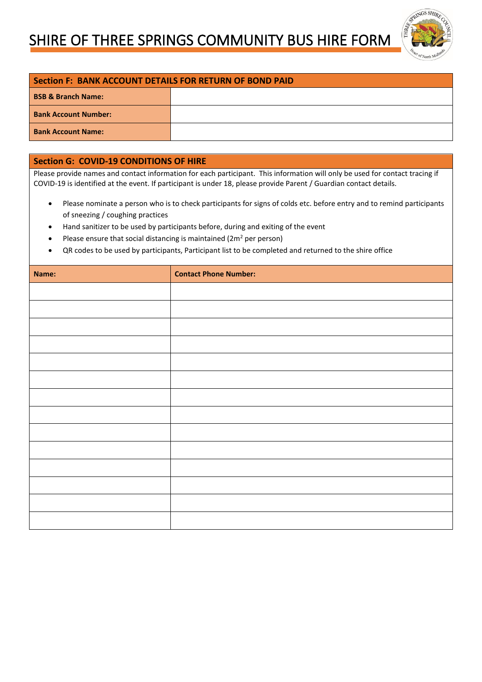

### **Section F: BANK ACCOUNT DETAILS FOR RETURN OF BOND PAID**

| <b>BSB &amp; Branch Name:</b> |  |
|-------------------------------|--|
| <b>Bank Account Number:</b>   |  |
| <b>Bank Account Name:</b>     |  |

### **Section G: COVID-19 CONDITIONS OF HIRE**

j

Please provide names and contact information for each participant. This information will only be used for contact tracing if COVID-19 is identified at the event. If participant is under 18, please provide Parent / Guardian contact details.

- Please nominate a person who is to check participants for signs of colds etc. before entry and to remind participants of sneezing / coughing practices
- Hand sanitizer to be used by participants before, during and exiting of the event
- Please ensure that social distancing is maintained  $(2m^2$  per person)
- QR codes to be used by participants, Participant list to be completed and returned to the shire office

| <b>Contact Phone Number:</b> |
|------------------------------|
|                              |
|                              |
|                              |
|                              |
|                              |
|                              |
|                              |
|                              |
|                              |
|                              |
|                              |
|                              |
|                              |
|                              |
|                              |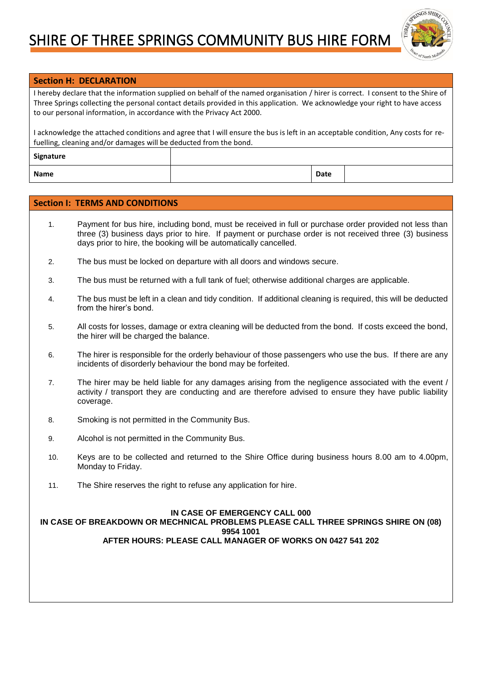

### **Section H: DECLARATION**

j

I hereby declare that the information supplied on behalf of the named organisation / hirer is correct. I consent to the Shire of Three Springs collecting the personal contact details provided in this application. We acknowledge your right to have access to our personal information, in accordance with the Privacy Act 2000.

I acknowledge the attached conditions and agree that I will ensure the bus is left in an acceptable condition, Any costs for refuelling, cleaning and/or damages will be deducted from the bond.

| Signature |      |  |
|-----------|------|--|
| Name      | Date |  |

#### **Section I: TERMS AND CONDITIONS**

- 1. Payment for bus hire, including bond, must be received in full or purchase order provided not less than three (3) business days prior to hire. If payment or purchase order is not received three (3) business days prior to hire, the booking will be automatically cancelled.
- 2. The bus must be locked on departure with all doors and windows secure.
- 3. The bus must be returned with a full tank of fuel; otherwise additional charges are applicable.
- 4. The bus must be left in a clean and tidy condition. If additional cleaning is required, this will be deducted from the hirer's bond.
- 5. All costs for losses, damage or extra cleaning will be deducted from the bond. If costs exceed the bond, the hirer will be charged the balance.
- 6. The hirer is responsible for the orderly behaviour of those passengers who use the bus. If there are any incidents of disorderly behaviour the bond may be forfeited.
- 7. The hirer may be held liable for any damages arising from the negligence associated with the event / activity / transport they are conducting and are therefore advised to ensure they have public liability coverage.
- 8. Smoking is not permitted in the Community Bus.
- 9. Alcohol is not permitted in the Community Bus.
- 10. Keys are to be collected and returned to the Shire Office during business hours 8.00 am to 4.00pm, Monday to Friday.
- 11. The Shire reserves the right to refuse any application for hire.

#### **IN CASE OF EMERGENCY CALL 000**

**IN CASE OF BREAKDOWN OR MECHNICAL PROBLEMS PLEASE CALL THREE SPRINGS SHIRE ON (08) 9954 1001 AFTER HOURS: PLEASE CALL MANAGER OF WORKS ON 0427 541 202**